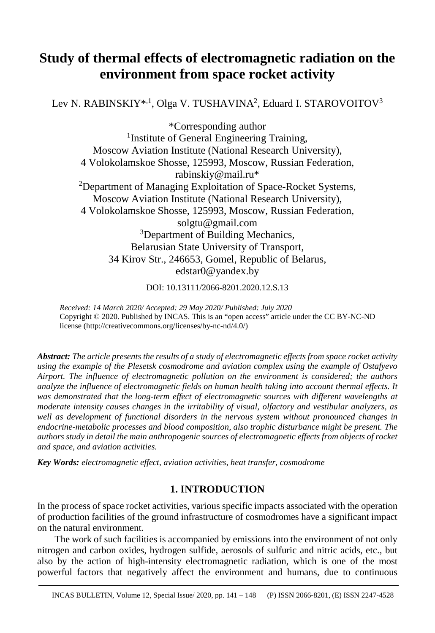# **Study of thermal effects of electromagnetic radiation on the environment from space rocket activity**

Lev N. RABINSKIY\*<sup>, 1</sup>, Olga V. TUSHAVINA<sup>2</sup>, Eduard I. STAROVOITOV<sup>3</sup>

\*Corresponding author <sup>1</sup>Institute of General Engineering Training, Moscow Aviation Institute (National Research University), 4 Volokolamskoe Shosse, 125993, Moscow, Russian Federation, rabinskiy@mail.ru\* <sup>2</sup>Department of Managing Exploitation of Space-Rocket Systems, Moscow Aviation Institute (National Research University), 4 Volokolamskoe Shosse, 125993, Moscow, Russian Federation, solgtu@gmail.com <sup>3</sup>Department of Building Mechanics, Belarusian State University of Transport, 34 Kirov Str., 246653, Gomel, Republic of Belarus, edstar0@yandex.by

DOI: 10.13111/2066-8201.2020.12.S.13

*Received: 14 March 2020/ Accepted: 29 May 2020/ Published: July 2020* Copyright © 2020. Published by INCAS. This is an "open access" article under the CC BY-NC-ND license (http://creativecommons.org/licenses/by-nc-nd/4.0/)

*Abstract: The article presents the results of a study of electromagnetic effects from space rocket activity using the example of the Plesetsk cosmodrome and aviation complex using the example of Ostafyevo Airport. The influence of electromagnetic pollution on the environment is considered; the authors analyze the influence of electromagnetic fields on human health taking into account thermal effects. It was demonstrated that the long-term effect of electromagnetic sources with different wavelengths at moderate intensity causes changes in the irritability of visual, olfactory and vestibular analyzers, as well as development of functional disorders in the nervous system without pronounced changes in endocrine-metabolic processes and blood composition, also trophic disturbance might be present. The authors study in detail the main anthropogenic sources of electromagnetic effects from objects of rocket and space, and aviation activities.*

*Key Words: electromagnetic effect, aviation activities, heat transfer, cosmodrome*

# **1. INTRODUCTION**

In the process of space rocket activities, various specific impacts associated with the operation of production facilities of the ground infrastructure of cosmodromes have a significant impact on the natural environment.

The work of such facilities is accompanied by emissions into the environment of not only nitrogen and carbon oxides, hydrogen sulfide, aerosols of sulfuric and nitric acids, etc., but also by the action of high-intensity electromagnetic radiation, which is one of the most powerful factors that negatively affect the environment and humans, due to continuous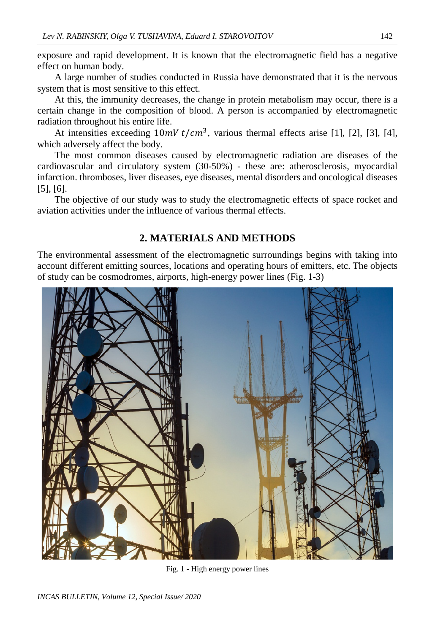exposure and rapid development. It is known that the electromagnetic field has a negative effect on human body.

A large number of studies conducted in Russia have demonstrated that it is the nervous system that is most sensitive to this effect.

At this, the immunity decreases, the change in protein metabolism may occur, there is a certain change in the composition of blood. A person is accompanied by electromagnetic radiation throughout his entire life.

At intensities exceeding  $10 mV t/cm^3$ , various thermal effects arise [1], [2], [3], [4], which adversely affect the body.

The most common diseases caused by electromagnetic radiation are diseases of the cardiovascular and circulatory system (30-50%) - these are: atherosclerosis, myocardial infarction. thromboses, liver diseases, eye diseases, mental disorders and oncological diseases [5], [6].

The objective of our study was to study the electromagnetic effects of space rocket and aviation activities under the influence of various thermal effects.

## **2. MATERIALS AND METHODS**

The environmental assessment of the electromagnetic surroundings begins with taking into account different emitting sources, locations and operating hours of emitters, etc. The objects of study can be cosmodromes, airports, high-energy power lines (Fig. 1-3)



Fig. 1 - High energy power lines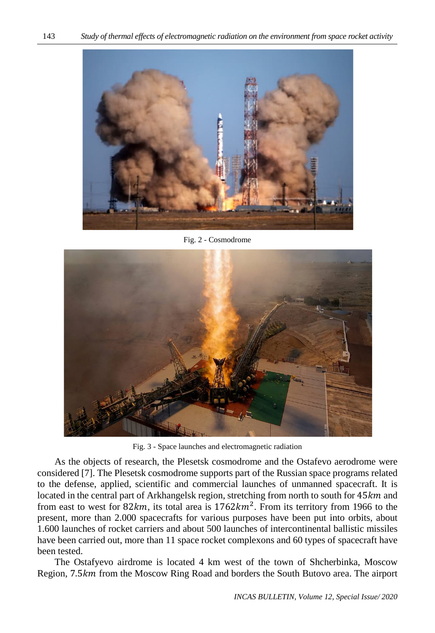

Fig. 2 - Cosmodrome



Fig. 3 - Space launches and electromagnetic radiation

As the objects of research, the Plesetsk cosmodrome and the Ostafevo aerodrome were considered [7]. The Plesetsk cosmodrome supports part of the Russian space programs related to the defense, applied, scientific and commercial launches of unmanned spacecraft. It is located in the central part of Arkhangelsk region, stretching from north to south for  $45km$  and from east to west for  $82km$ , its total area is  $1762km^2$ . From its territory from 1966 to the present, more than 2.000 spacecrafts for various purposes have been put into orbits, about 1.600 launches of rocket carriers and about 500 launches of intercontinental ballistic missiles have been carried out, more than 11 space rocket complexons and 60 types of spacecraft have been tested.

The Ostafyevo airdrome is located 4 km west of the town of Shcherbinka, Moscow Region, 7.5 km from the Moscow Ring Road and borders the South Butovo area. The airport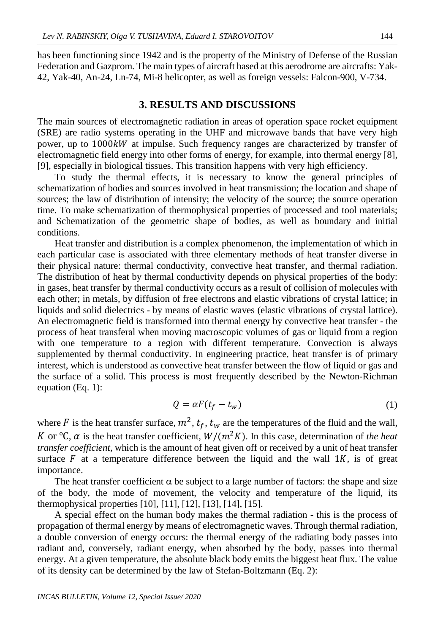has been functioning since 1942 and is the property of the Ministry of Defense of the Russian Federation and Gazprom. The main types of aircraft based at this aerodrome are aircrafts: Yak-42, Yak-40, An-24, Ln-74, Mi-8 helicopter, as well as foreign vessels: Falcon-900, V-734.

#### **3. RESULTS AND DISCUSSIONS**

The main sources of electromagnetic radiation in areas of operation space rocket equipment (SRE) are radio systems operating in the UHF and microwave bands that have very high power, up to 1000kW at impulse. Such frequency ranges are characterized by transfer of electromagnetic field energy into other forms of energy, for example, into thermal energy [8], [9], especially in biological tissues. This transition happens with very high efficiency.

To study the thermal effects, it is necessary to know the general principles of schematization of bodies and sources involved in heat transmission; the location and shape of sources; the law of distribution of intensity; the velocity of the source; the source operation time. To make schematization of thermophysical properties of processed and tool materials; and Schematization of the geometric shape of bodies, as well as boundary and initial conditions.

Heat transfer and distribution is a complex phenomenon, the implementation of which in each particular case is associated with three elementary methods of heat transfer diverse in their physical nature: thermal conductivity, convective heat transfer, and thermal radiation. The distribution of heat by thermal conductivity depends on physical properties of the body: in gases, heat transfer by thermal conductivity occurs as a result of collision of molecules with each other; in metals, by diffusion of free electrons and elastic vibrations of crystal lattice; in liquids and solid dielectrics - by means of elastic waves (elastic vibrations of crystal lattice). An electromagnetic field is transformed into thermal energy by convective heat transfer - the process of heat transferal when moving macroscopic volumes of gas or liquid from a region with one temperature to a region with different temperature. Convection is always supplemented by thermal conductivity. In engineering practice, heat transfer is of primary interest, which is understood as convective heat transfer between the flow of liquid or gas and the surface of a solid. This process is most frequently described by the Newton-Richman equation (Eq. 1):

$$
Q = \alpha F(t_f - t_w) \tag{1}
$$

where F is the heat transfer surface,  $m^2$ ,  $t_f$ ,  $t_w$  are the temperatures of the fluid and the wall, K or  $\rm{C}$ ,  $\alpha$  is the heat transfer coefficient,  $W/(m^2K)$ . In this case, determination of *the heat transfer coefficient,* which is the amount of heat given off or received by a unit of heat transfer surface  $F$  at a temperature difference between the liquid and the wall  $1K$ , is of great importance.

The heat transfer coefficient  $\alpha$  be subject to a large number of factors: the shape and size of the body, the mode of movement, the velocity and temperature of the liquid, its thermophysical properties [10], [11], [12], [13], [14], [15].

A special effect on the human body makes the thermal radiation - this is the process of propagation of thermal energy by means of electromagnetic waves. Through thermal radiation, a double conversion of energy occurs: the thermal energy of the radiating body passes into radiant and, conversely, radiant energy, when absorbed by the body, passes into thermal energy. At a given temperature, the absolute black body emits the biggest heat flux. The value of its density can be determined by the law of Stefan-Boltzmann (Eq. 2):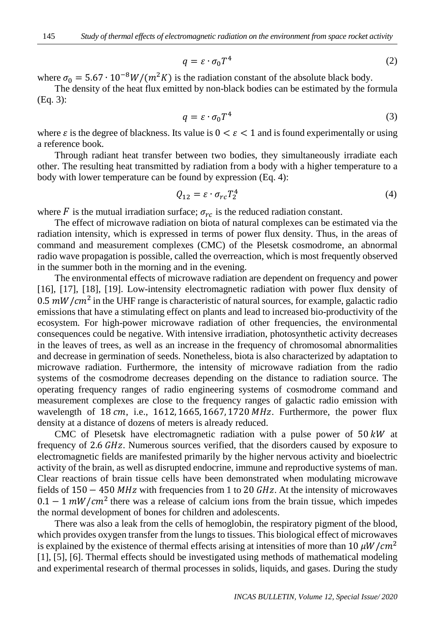$$
q = \varepsilon \cdot \sigma_0 T^4 \tag{2}
$$

where  $\sigma_0 = 5.67 \cdot 10^{-8} W/(m^2 K)$  is the radiation constant of the absolute black body.

The density of the heat flux emitted by non-black bodies can be estimated by the formula (Eq. 3):

$$
q = \varepsilon \cdot \sigma_0 T^4 \tag{3}
$$

where  $\varepsilon$  is the degree of blackness. Its value is  $0 < \varepsilon < 1$  and is found experimentally or using a reference book.

Through radiant heat transfer between two bodies, they simultaneously irradiate each other. The resulting heat transmitted by radiation from a body with a higher temperature to a body with lower temperature can be found by expression (Eq. 4):

$$
Q_{12} = \varepsilon \cdot \sigma_{rc} T_2^4 \tag{4}
$$

where F is the mutual irradiation surface;  $\sigma_{rc}$  is the reduced radiation constant.

The effect of microwave radiation on biota of natural complexes can be estimated via the radiation intensity, which is expressed in terms of power flux density. Thus, in the areas of command and measurement complexes (CMC) of the Plesetsk cosmodrome, an abnormal radio wave propagation is possible, called the overreaction, which is most frequently observed in the summer both in the morning and in the evening.

The environmental effects of microwave radiation are dependent on frequency and power [16], [17], [18], [19]. Low-intensity electromagnetic radiation with power flux density of 0.5  $mW/cm^2$  in the UHF range is characteristic of natural sources, for example, galactic radio emissions that have a stimulating effect on plants and lead to increased bio-productivity of the ecosystem. For high-power microwave radiation of other frequencies, the environmental consequences could be negative. With intensive irradiation, photosynthetic activity decreases in the leaves of trees, as well as an increase in the frequency of chromosomal abnormalities and decrease in germination of seeds. Nonetheless, biota is also characterized by adaptation to microwave radiation. Furthermore, the intensity of microwave radiation from the radio systems of the cosmodrome decreases depending on the distance to radiation source. The operating frequency ranges of radio engineering systems of cosmodrome command and measurement complexes are close to the frequency ranges of galactic radio emission with wavelength of  $18 cm$ , i.e.,  $1612$ ,  $1665$ ,  $1667$ ,  $1720 MHz$ . Furthermore, the power flux density at a distance of dozens of meters is already reduced.

CMC of Plesetsk have electromagnetic radiation with a pulse power of  $50 \, kW$  at frequency of 2.6 *GHz*. Numerous sources verified, that the disorders caused by exposure to electromagnetic fields are manifested primarily by the higher nervous activity and bioelectric activity of the brain, as well as disrupted endocrine, immune and reproductive systems of man. Clear reactions of brain tissue cells have been demonstrated when modulating microwave fields of  $150 - 450$  MHz with frequencies from 1 to 20 GHz. At the intensity of microwaves  $0.1 - 1 \, \text{mW}/\text{cm}^2$  there was a release of calcium ions from the brain tissue, which impedes the normal development of bones for children and adolescents.

There was also a leak from the cells of hemoglobin, the respiratory pigment of the blood, which provides oxygen transfer from the lungs to tissues. This biological effect of microwaves is explained by the existence of thermal effects arising at intensities of more than 10  $\mu W/cm^2$ [1], [5], [6]. Thermal effects should be investigated using methods of mathematical modeling and experimental research of thermal processes in solids, liquids, and gases. During the study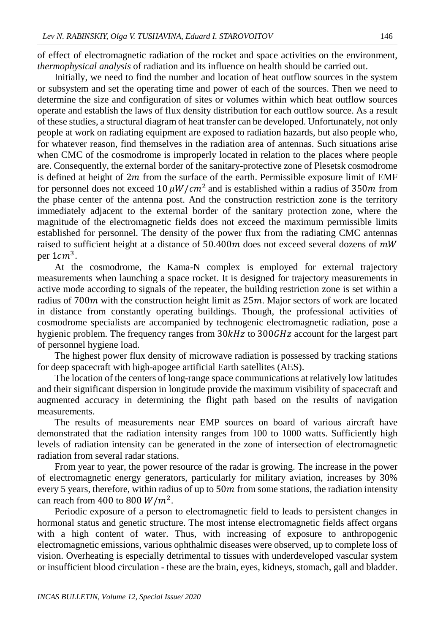of effect of electromagnetic radiation of the rocket and space activities on the environment, *thermophysical analysis* of radiation and its influence on health should be carried out.

Initially, we need to find the number and location of heat outflow sources in the system or subsystem and set the operating time and power of each of the sources. Then we need to determine the size and configuration of sites or volumes within which heat outflow sources operate and establish the laws of flux density distribution for each outflow source. As a result of these studies, a structural diagram of heat transfer can be developed. Unfortunately, not only people at work on radiating equipment are exposed to radiation hazards, but also people who, for whatever reason, find themselves in the radiation area of antennas. Such situations arise when CMC of the cosmodrome is improperly located in relation to the places where people are. Consequently, the external border of the sanitary-protective zone of Plesetsk cosmodrome is defined at height of  $2m$  from the surface of the earth. Permissible exposure limit of EMF for personnel does not exceed 10  $\mu$ W/cm<sup>2</sup> and is established within a radius of 350m from the phase center of the antenna post. And the construction restriction zone is the territory immediately adjacent to the external border of the sanitary protection zone, where the magnitude of the electromagnetic fields does not exceed the maximum permissible limits established for personnel. The density of the power flux from the radiating CMC antennas raised to sufficient height at a distance of  $50.400m$  does not exceed several dozens of  $mW$ per  $1cm<sup>3</sup>$ .

At the cosmodrome, the Kama-N complex is employed for external trajectory measurements when launching a space rocket. It is designed for trajectory measurements in active mode according to signals of the repeater, the building restriction zone is set within a radius of  $700m$  with the construction height limit as  $25m$ . Major sectors of work are located in distance from constantly operating buildings. Though, the professional activities of cosmodrome specialists are accompanied by technogenic electromagnetic radiation, pose a hygienic problem. The frequency ranges from  $30kHz$  to  $300GHz$  account for the largest part of personnel hygiene load.

The highest power flux density of microwave radiation is possessed by tracking stations for deep spacecraft with high-apogee artificial Earth satellites (AES).

The location of the centers of long-range space communications at relatively low latitudes and their significant dispersion in longitude provide the maximum visibility of spacecraft and augmented accuracy in determining the flight path based on the results of navigation measurements.

The results of measurements near EMP sources on board of various aircraft have demonstrated that the radiation intensity ranges from 100 to 1000 watts. Sufficiently high levels of radiation intensity can be generated in the zone of intersection of electromagnetic radiation from several radar stations.

From year to year, the power resource of the radar is growing. The increase in the power of electromagnetic energy generators, particularly for military aviation, increases by 30% every 5 years, therefore, within radius of up to  $50<sub>m</sub>$  from some stations, the radiation intensity can reach from 400 to 800  $W/m^2$ .

Periodic exposure of a person to electromagnetic field to leads to persistent changes in hormonal status and genetic structure. The most intense electromagnetic fields affect organs with a high content of water. Thus, with increasing of exposure to anthropogenic electromagnetic emissions, various ophthalmic diseases were observed, up to complete loss of vision. Overheating is especially detrimental to tissues with underdeveloped vascular system or insufficient blood circulation - these are the brain, eyes, kidneys, stomach, gall and bladder.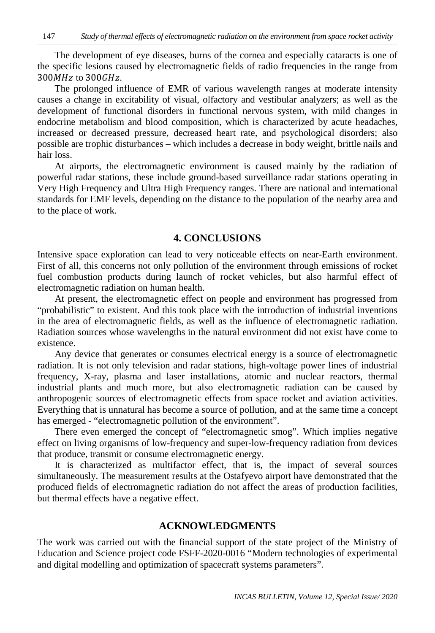The development of eye diseases, burns of the cornea and especially cataracts is one of the specific lesions caused by electromagnetic fields of radio frequencies in the range from  $300 MHz$  to  $300 GHz$ .

The prolonged influence of EMR of various wavelength ranges at moderate intensity causes a change in excitability of visual, olfactory and vestibular analyzers; as well as the development of functional disorders in functional nervous system, with mild changes in endocrine metabolism and blood composition, which is characterized by acute headaches, increased or decreased pressure, decreased heart rate, and psychological disorders; also possible are trophic disturbances – which includes a decrease in body weight, brittle nails and hair loss.

At airports, the electromagnetic environment is caused mainly by the radiation of powerful radar stations, these include ground-based surveillance radar stations operating in Very High Frequency and Ultra High Frequency ranges. There are national and international standards for EMF levels, depending on the distance to the population of the nearby area and to the place of work.

### **4. CONCLUSIONS**

Intensive space exploration can lead to very noticeable effects on near-Earth environment. First of all, this concerns not only pollution of the environment through emissions of rocket fuel combustion products during launch of rocket vehicles, but also harmful effect of electromagnetic radiation on human health.

At present, the electromagnetic effect on people and environment has progressed from "probabilistic" to existent. And this took place with the introduction of industrial inventions in the area of electromagnetic fields, as well as the influence of electromagnetic radiation. Radiation sources whose wavelengths in the natural environment did not exist have come to existence.

Any device that generates or consumes electrical energy is a source of electromagnetic radiation. It is not only television and radar stations, high-voltage power lines of industrial frequency, X-ray, plasma and laser installations, atomic and nuclear reactors, thermal industrial plants and much more, but also electromagnetic radiation can be caused by anthropogenic sources of electromagnetic effects from space rocket and aviation activities. Everything that is unnatural has become a source of pollution, and at the same time a concept has emerged - "electromagnetic pollution of the environment".

There even emerged the concept of "electromagnetic smog". Which implies negative effect on living organisms of low-frequency and super-low-frequency radiation from devices that produce, transmit or consume electromagnetic energy.

It is characterized as multifactor effect, that is, the impact of several sources simultaneously. The measurement results at the Ostafyevo airport have demonstrated that the produced fields of electromagnetic radiation do not affect the areas of production facilities, but thermal effects have a negative effect.

## **ACKNOWLEDGMENTS**

The work was carried out with the financial support of the state project of the Ministry of Education and Science project code FSFF-2020-0016 "Modern technologies of experimental and digital modelling and optimization of spacecraft systems parameters".